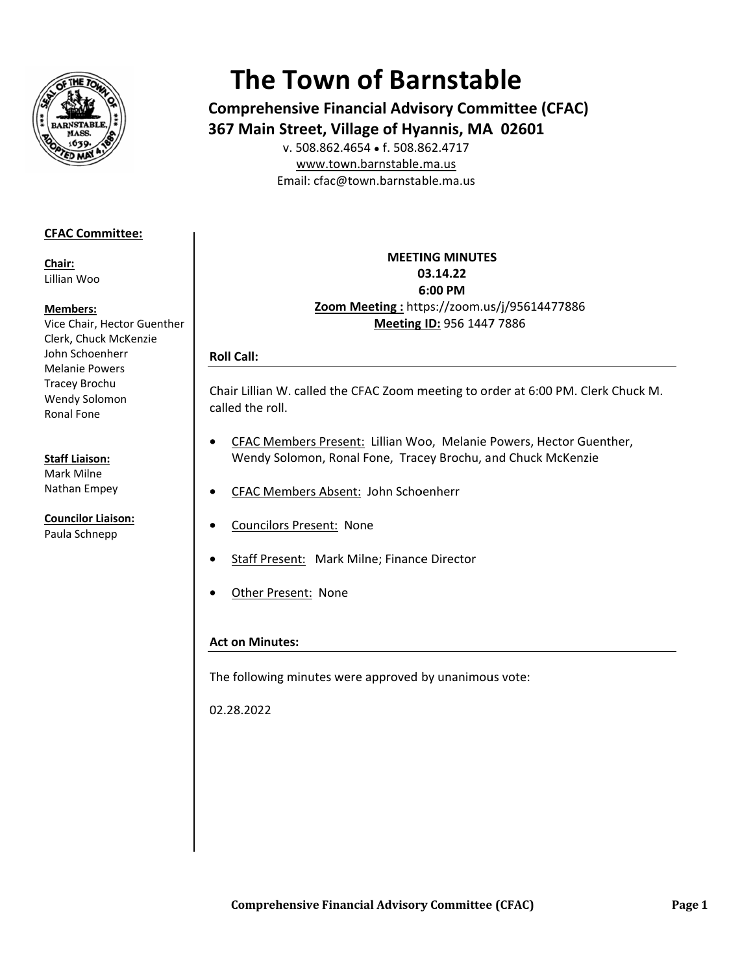

# **The Town of Barnstable**

**Comprehensive Financial Advisory Committee (CFAC) 367 Main Street, Village of Hyannis, MA 02601** 

E Email: cfac@t town.barnsta ble.ma.us v. 508.862.46 654 ● f. 508.8 862.4717 www.town.barnstable.ma.us

## **CFAC C Committee: :**

**Chair r:**  Lillian n Woo

#### **Mem mbers:**

Vice C Chair, Hector G Guenther Clerk, Chuck McKenzie John Schoenherr Mela nie Powers Trace ey Brochu Wend dy Solomon Rona l Fone

### **Staff Liaison:**

Mark k Milne Natha an Empey

**Coun cilor Liaison:**  Paula a Schnepp

**Zoom M Meeting :** htt tps://zoom.us s/j/95614477 7886 **MEETI ING MINUTES S0 03.14.22 6 6:00 PM Meeting ID:** 956 1447 7 7886

## **R Roll Call:**

Chair Lillian W. called the CFAC Zoom meeting to order at 6:00 PM. Clerk Chuck M. c called the rol l.

- • CFAC Members Present: Lillian Woo, Melanie Powers, Hector Guenther, Wendy Solomon, Ronal Fone, Tracey Brochu, and Chuck McKenzie
- • CFAC Members Absent: John Schoenherr
- **•** Councilors Present: None
- • Staff Present: Mark Milne; Finance Director
- • Other Present: None

## **A Act on Minut tes:**

The following minutes were approved by unanimous vote:

0 02.28.2022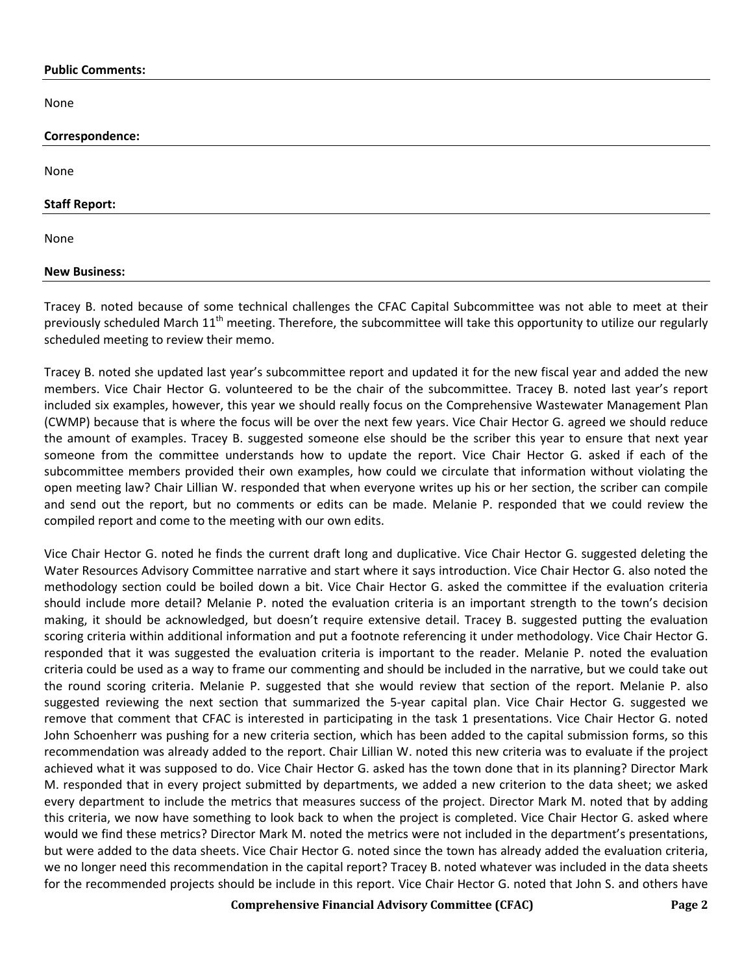#### **Public Comments:**

None

| Correspondence:      |  |  |
|----------------------|--|--|
|                      |  |  |
| None                 |  |  |
|                      |  |  |
| <b>Staff Report:</b> |  |  |
| None                 |  |  |
|                      |  |  |
| <b>New Business:</b> |  |  |

Tracey B. noted because of some technical challenges the CFAC Capital Subcommittee was not able to meet at their previously scheduled March 11<sup>th</sup> meeting. Therefore, the subcommittee will take this opportunity to utilize our regularly scheduled meeting to review their memo.

Tracey B. noted she updated last year's subcommittee report and updated it for the new fiscal year and added the new members. Vice Chair Hector G. volunteered to be the chair of the subcommittee. Tracey B. noted last year's report included six examples, however, this year we should really focus on the Comprehensive Wastewater Management Plan (CWMP) because that is where the focus will be over the next few years. Vice Chair Hector G. agreed we should reduce the amount of examples. Tracey B. suggested someone else should be the scriber this year to ensure that next year someone from the committee understands how to update the report. Vice Chair Hector G. asked if each of the subcommittee members provided their own examples, how could we circulate that information without violating the open meeting law? Chair Lillian W. responded that when everyone writes up his or her section, the scriber can compile and send out the report, but no comments or edits can be made. Melanie P. responded that we could review the compiled report and come to the meeting with our own edits.

Vice Chair Hector G. noted he finds the current draft long and duplicative. Vice Chair Hector G. suggested deleting the Water Resources Advisory Committee narrative and start where it says introduction. Vice Chair Hector G. also noted the methodology section could be boiled down a bit. Vice Chair Hector G. asked the committee if the evaluation criteria should include more detail? Melanie P. noted the evaluation criteria is an important strength to the town's decision making, it should be acknowledged, but doesn't require extensive detail. Tracey B. suggested putting the evaluation scoring criteria within additional information and put a footnote referencing it under methodology. Vice Chair Hector G. responded that it was suggested the evaluation criteria is important to the reader. Melanie P. noted the evaluation criteria could be used as a way to frame our commenting and should be included in the narrative, but we could take out the round scoring criteria. Melanie P. suggested that she would review that section of the report. Melanie P. also suggested reviewing the next section that summarized the 5-year capital plan. Vice Chair Hector G. suggested we remove that comment that CFAC is interested in participating in the task 1 presentations. Vice Chair Hector G. noted John Schoenherr was pushing for a new criteria section, which has been added to the capital submission forms, so this recommendation was already added to the report. Chair Lillian W. noted this new criteria was to evaluate if the project achieved what it was supposed to do. Vice Chair Hector G. asked has the town done that in its planning? Director Mark M. responded that in every project submitted by departments, we added a new criterion to the data sheet; we asked every department to include the metrics that measures success of the project. Director Mark M. noted that by adding this criteria, we now have something to look back to when the project is completed. Vice Chair Hector G. asked where would we find these metrics? Director Mark M. noted the metrics were not included in the department's presentations, but were added to the data sheets. Vice Chair Hector G. noted since the town has already added the evaluation criteria, we no longer need this recommendation in the capital report? Tracey B. noted whatever was included in the data sheets for the recommended projects should be include in this report. Vice Chair Hector G. noted that John S. and others have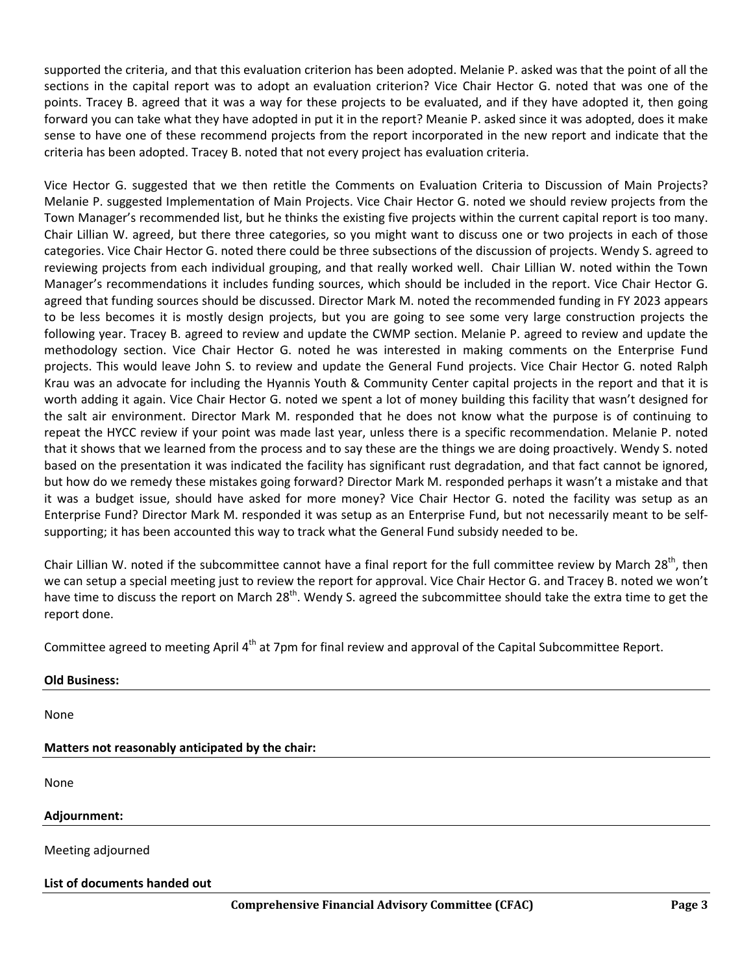supported the criteria, and that this evaluation criterion has been adopted. Melanie P. asked was that the point of all the sections in the capital report was to adopt an evaluation criterion? Vice Chair Hector G. noted that was one of the points. Tracey B. agreed that it was a way for these projects to be evaluated, and if they have adopted it, then going forward you can take what they have adopted in put it in the report? Meanie P. asked since it was adopted, does it make sense to have one of these recommend projects from the report incorporated in the new report and indicate that the criteria has been adopted. Tracey B. noted that not every project has evaluation criteria.

Vice Hector G. suggested that we then retitle the Comments on Evaluation Criteria to Discussion of Main Projects? Melanie P. suggested Implementation of Main Projects. Vice Chair Hector G. noted we should review projects from the Town Manager's recommended list, but he thinks the existing five projects within the current capital report is too many. Chair Lillian W. agreed, but there three categories, so you might want to discuss one or two projects in each of those categories. Vice Chair Hector G. noted there could be three subsections of the discussion of projects. Wendy S. agreed to reviewing projects from each individual grouping, and that really worked well. Chair Lillian W. noted within the Town Manager's recommendations it includes funding sources, which should be included in the report. Vice Chair Hector G. agreed that funding sources should be discussed. Director Mark M. noted the recommended funding in FY 2023 appears to be less becomes it is mostly design projects, but you are going to see some very large construction projects the following year. Tracey B. agreed to review and update the CWMP section. Melanie P. agreed to review and update the methodology section. Vice Chair Hector G. noted he was interested in making comments on the Enterprise Fund projects. This would leave John S. to review and update the General Fund projects. Vice Chair Hector G. noted Ralph Krau was an advocate for including the Hyannis Youth & Community Center capital projects in the report and that it is worth adding it again. Vice Chair Hector G. noted we spent a lot of money building this facility that wasn't designed for the salt air environment. Director Mark M. responded that he does not know what the purpose is of continuing to repeat the HYCC review if your point was made last year, unless there is a specific recommendation. Melanie P. noted that it shows that we learned from the process and to say these are the things we are doing proactively. Wendy S. noted based on the presentation it was indicated the facility has significant rust degradation, and that fact cannot be ignored, but how do we remedy these mistakes going forward? Director Mark M. responded perhaps it wasn't a mistake and that it was a budget issue, should have asked for more money? Vice Chair Hector G. noted the facility was setup as an Enterprise Fund? Director Mark M. responded it was setup as an Enterprise Fund, but not necessarily meant to be selfsupporting; it has been accounted this way to track what the General Fund subsidy needed to be.

Chair Lillian W. noted if the subcommittee cannot have a final report for the full committee review by March  $28^{th}$ , then we can setup a special meeting just to review the report for approval. Vice Chair Hector G. and Tracey B. noted we won't have time to discuss the report on March 28<sup>th</sup>. Wendy S. agreed the subcommittee should take the extra time to get the report done.

Committee agreed to meeting April 4<sup>th</sup> at 7pm for final review and approval of the Capital Subcommittee Report.

| <b>Old Business:</b>                             |
|--------------------------------------------------|
| None                                             |
| Matters not reasonably anticipated by the chair: |
| None                                             |
| Adjournment:                                     |
| Meeting adjourned                                |
| List of documents handed out                     |